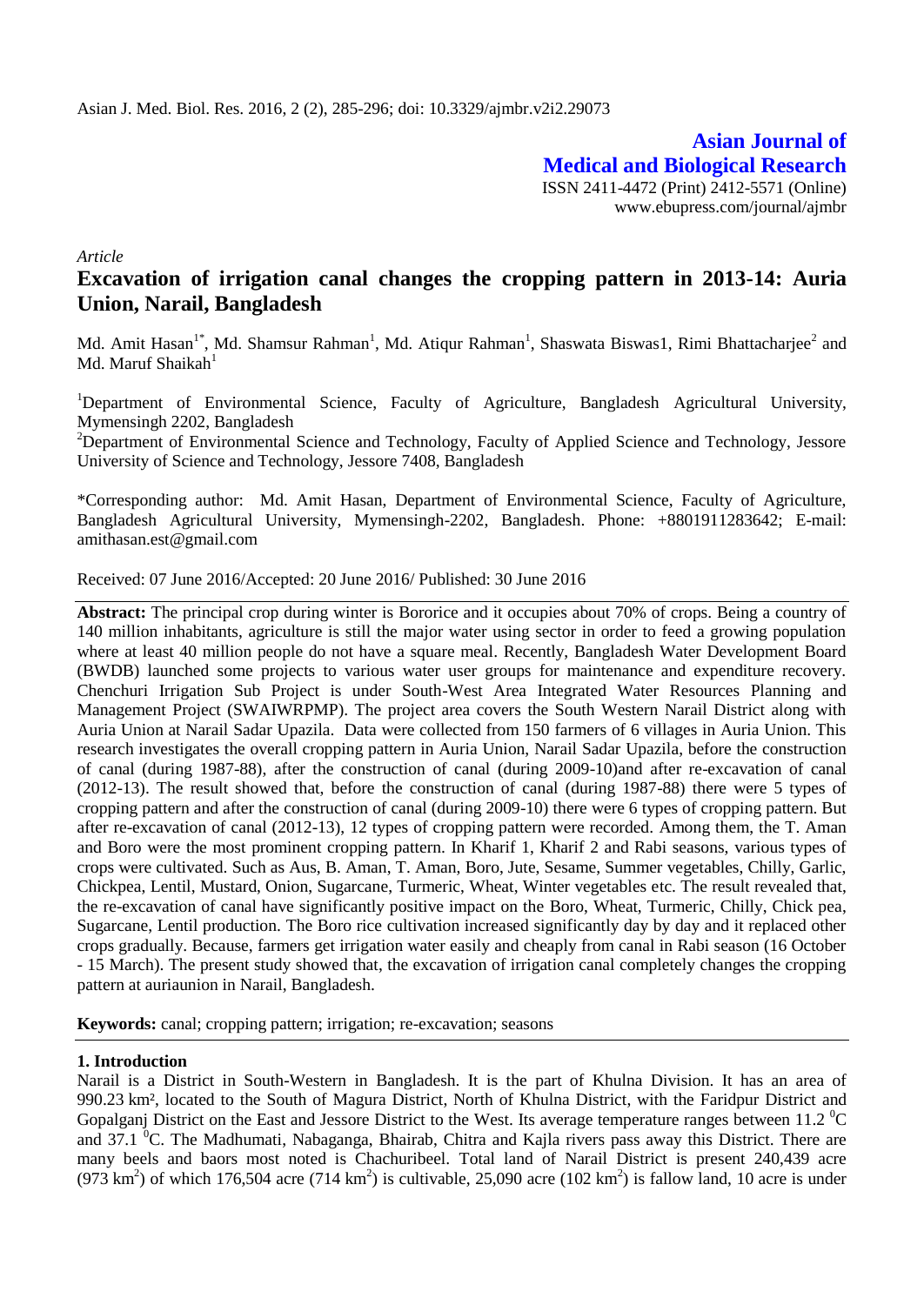**Asian Journal of Medical and Biological Research** ISSN 2411-4472 (Print) 2412-5571 (Online) www.ebupress.com/journal/ajmbr

*Article*

# **Excavation of irrigation canal changes the cropping pattern in 2013-14: Auria Union, Narail, Bangladesh**

Md. Amit Hasan<sup>1\*</sup>, Md. Shamsur Rahman<sup>1</sup>, Md. Atiqur Rahman<sup>1</sup>, Shaswata Biswas1, Rimi Bhattacharjee<sup>2</sup> and Md. Maruf Shaikah<sup>1</sup>

<sup>1</sup>Department of Environmental Science, Faculty of Agriculture, Bangladesh Agricultural University, Mymensingh 2202, Bangladesh

<sup>2</sup>Department of Environmental Science and Technology, Faculty of Applied Science and Technology, Jessore University of Science and Technology, Jessore 7408, Bangladesh

\*Corresponding author: Md. Amit Hasan, Department of Environmental Science, Faculty of Agriculture, Bangladesh Agricultural University, Mymensingh-2202, Bangladesh. Phone: +8801911283642; E-mail: amithasan.est@gmail.com

Received: 07 June 2016/Accepted: 20 June 2016/ Published: 30 June 2016

**Abstract:** The principal crop during winter is Bororice and it occupies about 70% of crops. Being a country of 140 million inhabitants, agriculture is still the major water using sector in order to feed a growing population where at least 40 million people do not have a square meal. Recently, Bangladesh Water Development Board (BWDB) launched some projects to various water user groups for maintenance and expenditure recovery. Chenchuri Irrigation Sub Project is under South-West Area Integrated Water Resources Planning and Management Project (SWAIWRPMP). The project area covers the South Western Narail District along with Auria Union at Narail Sadar Upazila. Data were collected from 150 farmers of 6 villages in Auria Union. This research investigates the overall cropping pattern in Auria Union, Narail Sadar Upazila, before the construction of canal (during 1987-88), after the construction of canal (during 2009-10)and after re-excavation of canal (2012-13). The result showed that, before the construction of canal (during 1987-88) there were 5 types of cropping pattern and after the construction of canal (during 2009-10) there were 6 types of cropping pattern. But after re-excavation of canal (2012-13), 12 types of cropping pattern were recorded. Among them, the T. Aman and Boro were the most prominent cropping pattern. In Kharif 1, Kharif 2 and Rabi seasons, various types of crops were cultivated. Such as Aus, B. Aman, T. Aman, Boro, Jute, Sesame, Summer vegetables, Chilly, Garlic, Chickpea, Lentil, Mustard, Onion, Sugarcane, Turmeric, Wheat, Winter vegetables etc. The result revealed that, the re-excavation of canal have significantly positive impact on the Boro, Wheat, Turmeric, Chilly, Chick pea, Sugarcane, Lentil production. The Boro rice cultivation increased significantly day by day and it replaced other crops gradually. Because, farmers get irrigation water easily and cheaply from canal in Rabi season (16 October - 15 March). The present study showed that, the excavation of irrigation canal completely changes the cropping pattern at auriaunion in Narail, Bangladesh.

**Keywords:** canal; cropping pattern; irrigation; re-excavation; seasons

# **1. Introduction**

Narail is a District in South-Western in [Bangladesh.](http://en.wikipedia.org/wiki/Bangladesh) It is the part of [Khulna Division.](http://en.wikipedia.org/wiki/Khulna_Division) It has an area of 990.23 km², located to the South of [Magura District,](http://en.wikipedia.org/wiki/Magura_District) North of [Khulna District,](http://en.wikipedia.org/wiki/Khulna_District) with the [Faridpur District](http://en.wikipedia.org/wiki/Faridpur_District) and [Gopalganj District](http://en.wikipedia.org/wiki/Gopalganj_District_%28Bangladesh%29) on the East and [Jessore District](http://en.wikipedia.org/wiki/Jessore_District) to the West. Its average temperature ranges between 11.2  $^{\circ}C$ and 37.1  $\rm{^0C}$ . The [Madhumati,](http://en.wikipedia.org/w/index.php?title=Madhumati_river&action=edit&redlink=1) [Nabaganga,](http://en.wikipedia.org/w/index.php?title=Nabaganga_river&action=edit&redlink=1) [Bhairab,](http://en.wikipedia.org/w/index.php?title=Bhairab_river&action=edit&redlink=1) [Chitra](http://en.wikipedia.org/w/index.php?title=Chitra_river&action=edit&redlink=1) and [Kajla](http://en.wikipedia.org/w/index.php?title=Kajla_river&action=edit&redlink=1) rivers pass away this District. There are many beels and baors most noted is Chachuribeel. Total land of Narail District is present 240,439 acre  $(973 \text{ km}^2)$  of which 176,504 acre (714 km<sup>2</sup>) is cultivable, 25,090 acre (102 km<sup>2</sup>) is fallow land, 10 acre is under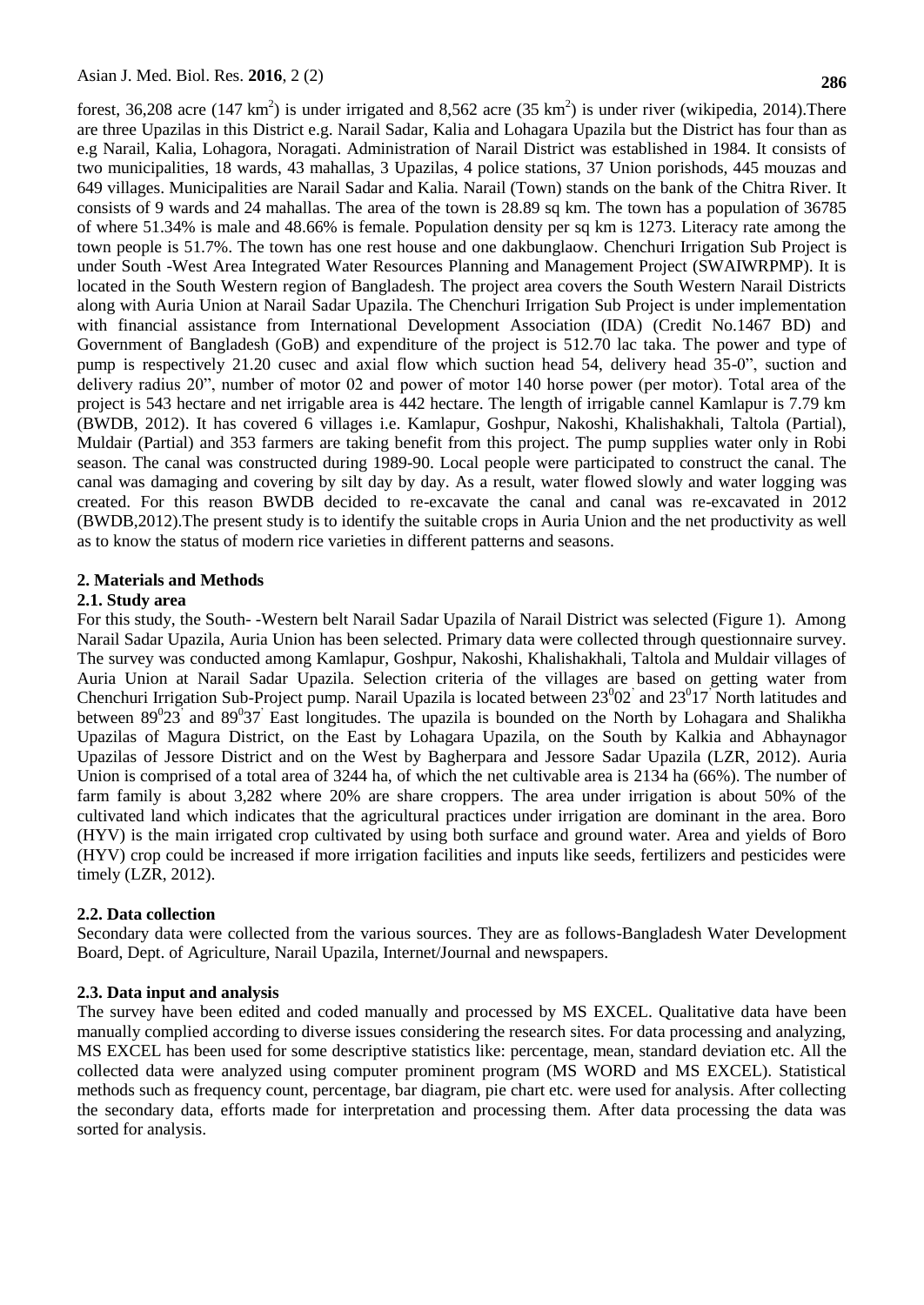forest, 36,208 acre (147 km<sup>2</sup>) is under irrigated and 8,562 acre (35 km<sup>2</sup>) is under river (wikipedia, 2014). There are three [Upazilas](http://en.wikipedia.org/wiki/Upazila) in this District e.g. Narail [Sadar,](http://en.wikipedia.org/wiki/Narail_Sadar_Upazila) [Kalia](http://en.wikipedia.org/wiki/Kalia_Upazila) and [Lohagara](http://en.wikipedia.org/wiki/Lohagara_Upazila,_Narail) Upazila but the District has four than as e.g Narail, Kalia, Lohagora, Noragati. Administration of Narail District was established in 1984. It consists of two municipalities, 18 wards, 43 mahallas, 3 [Upazilas,](http://en.wikipedia.org/wiki/Upazila) 4 police stations, 37 Union porishods, 445 mouzas and 649 villages. Municipalities are Narail Sadar and Kalia. Narail (Town) stands on the bank of the Chitra River. It consists of 9 wards and 24 mahallas. The area of the town is 28.89 sq km. The town has a population of 36785 of where 51.34% is male and 48.66% is female. Population density per sq km is 1273. Literacy rate among the town people is 51.7%. The town has one rest house and one dakbunglaow. Chenchuri Irrigation Sub Project is under South -West Area Integrated Water Resources Planning and Management Project (SWAIWRPMP). It is located in the South Western region of Bangladesh. The project area covers the South Western Narail Districts along with Auria Union at Narail Sadar Upazila. The Chenchuri Irrigation Sub Project is under implementation with financial assistance from International Development Association (IDA) (Credit No.1467 BD) and Government of Bangladesh (GoB) and expenditure of the project is 512.70 lac taka. The power and type of pump is respectively 21.20 cusec and axial flow which suction head 54, delivery head 35-0", suction and delivery radius 20", number of motor 02 and power of motor 140 horse power (per motor). Total area of the project is 543 hectare and net irrigable area is 442 hectare. The length of irrigable cannel Kamlapur is 7.79 km (BWDB, 2012). It has covered 6 villages i.e. Kamlapur, Goshpur, Nakoshi, Khalishakhali, Taltola (Partial), Muldair (Partial) and 353 farmers are taking benefit from this project. The pump supplies water only in Robi season. The canal was constructed during 1989-90. Local people were participated to construct the canal. The canal was damaging and covering by silt day by day. As a result, water flowed slowly and water logging was created. For this reason BWDB decided to re-excavate the canal and canal was re-excavated in 2012 (BWDB,2012).The present study is to identify the suitable crops in Auria Union and the net productivity as well as to know the status of modern rice varieties in different patterns and seasons.

### **2. Materials and Methods**

### **2.1. Study area**

For this study, the South- -Western belt Narail Sadar Upazila of Narail District was selected (Figure 1). Among Narail Sadar Upazila, Auria Union has been selected. Primary data were collected through questionnaire survey. The survey was conducted among Kamlapur, Goshpur, Nakoshi, Khalishakhali, Taltola and Muldair villages of Auria Union at Narail Sadar Upazila. Selection criteria of the villages are based on getting water from Chenchuri Irrigation Sub-Project pump. Narail Upazila is located between  $23^{0}02^{7}$  and  $23^{0}17^{7}$  North latitudes and between  $89^023$  and  $89^037$  East longitudes. The upazila is bounded on the North by Lohagara and Shalikha Upazilas of Magura District, on the East by Lohagara Upazila, on the South by Kalkia and Abhaynagor Upazilas of Jessore District and on the West by Bagherpara and Jessore Sadar Upazila (LZR, 2012). Auria Union is comprised of a total area of 3244 ha, of which the net cultivable area is 2134 ha (66%). The number of farm family is about 3,282 where 20% are share croppers. The area under irrigation is about 50% of the cultivated land which indicates that the agricultural practices under irrigation are dominant in the area. Boro (HYV) is the main irrigated crop cultivated by using both surface and ground water. Area and yields of Boro (HYV) crop could be increased if more irrigation facilities and inputs like seeds, fertilizers and pesticides were timely (LZR, 2012).

### **2.2. Data collection**

Secondary data were collected from the various sources. They are as follows-Bangladesh Water Development Board, Dept. of Agriculture, Narail Upazila, Internet/Journal and newspapers.

### **2.3. Data input and analysis**

The survey have been edited and coded manually and processed by MS EXCEL. Qualitative data have been manually complied according to diverse issues considering the research sites. For data processing and analyzing, MS EXCEL has been used for some descriptive statistics like: percentage, mean, standard deviation etc. All the collected data were analyzed using computer prominent program (MS WORD and MS EXCEL). Statistical methods such as frequency count, percentage, bar diagram, pie chart etc. were used for analysis. After collecting the secondary data, efforts made for interpretation and processing them. After data processing the data was sorted for analysis.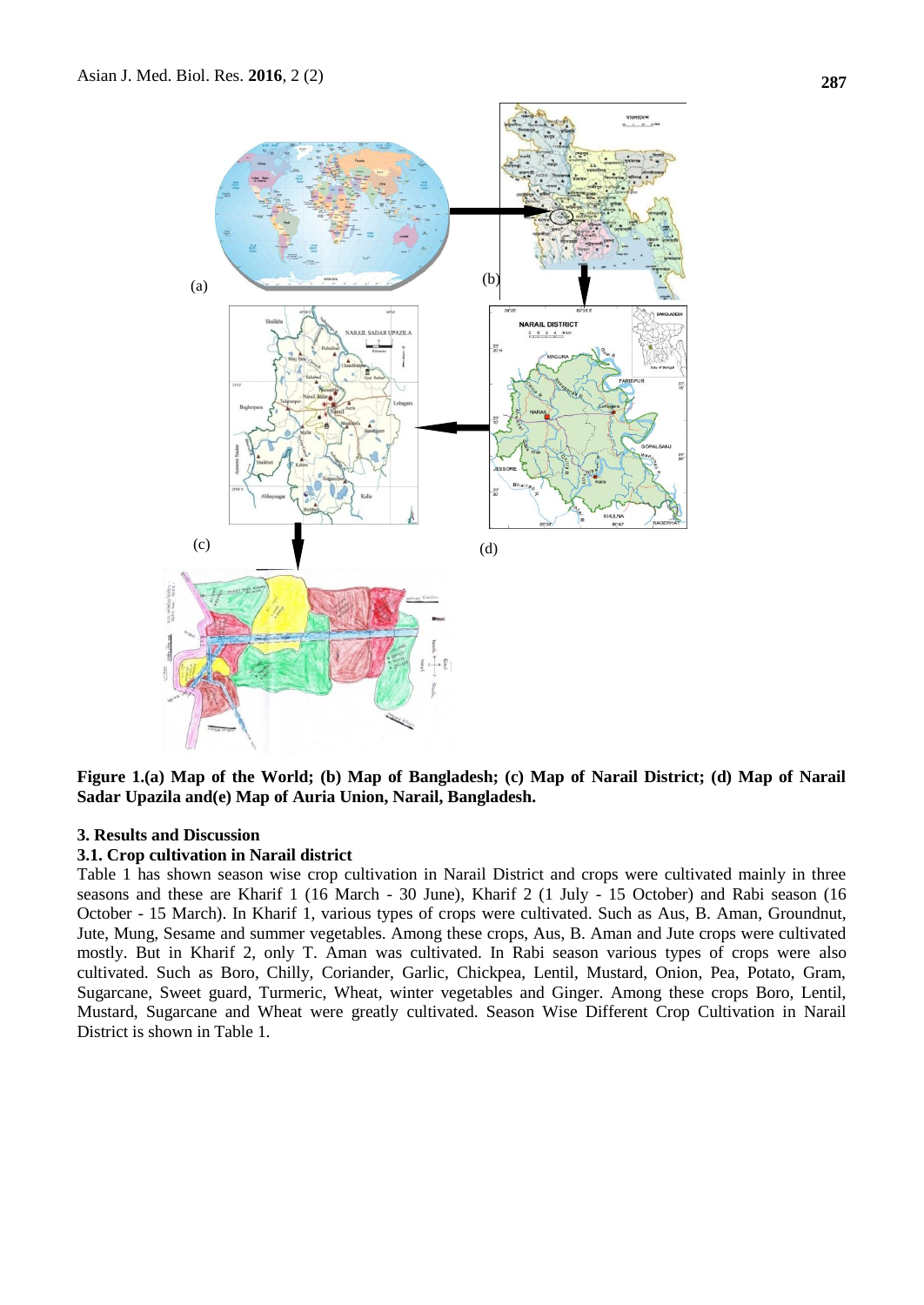

**Figure 1.(a) Map of the World; (b) Map of Bangladesh; (c) Map of Narail District; (d) Map of Narail Sadar Upazila and(e) Map of Auria Union, Narail, Bangladesh.**

# **3. Results and Discussion**

### **3.1. Crop cultivation in Narail district**

Table 1 has shown season wise crop cultivation in Narail District and crops were cultivated mainly in three seasons and these are Kharif 1 (16 March - 30 June), Kharif 2 (1 July - 15 October) and Rabi season (16 October - 15 March). In Kharif 1, various types of crops were cultivated. Such as Aus, B. Aman, Groundnut, Jute, Mung, Sesame and summer vegetables. Among these crops, Aus, B. Aman and Jute crops were cultivated mostly. But in Kharif 2, only T. Aman was cultivated. In Rabi season various types of crops were also cultivated. Such as Boro, Chilly, Coriander, Garlic, Chickpea, Lentil, Mustard, Onion, Pea, Potato, Gram, Sugarcane, Sweet guard, Turmeric, Wheat, winter vegetables and Ginger. Among these crops Boro, Lentil, Mustard, Sugarcane and Wheat were greatly cultivated. Season Wise Different Crop Cultivation in Narail District is shown in Table 1.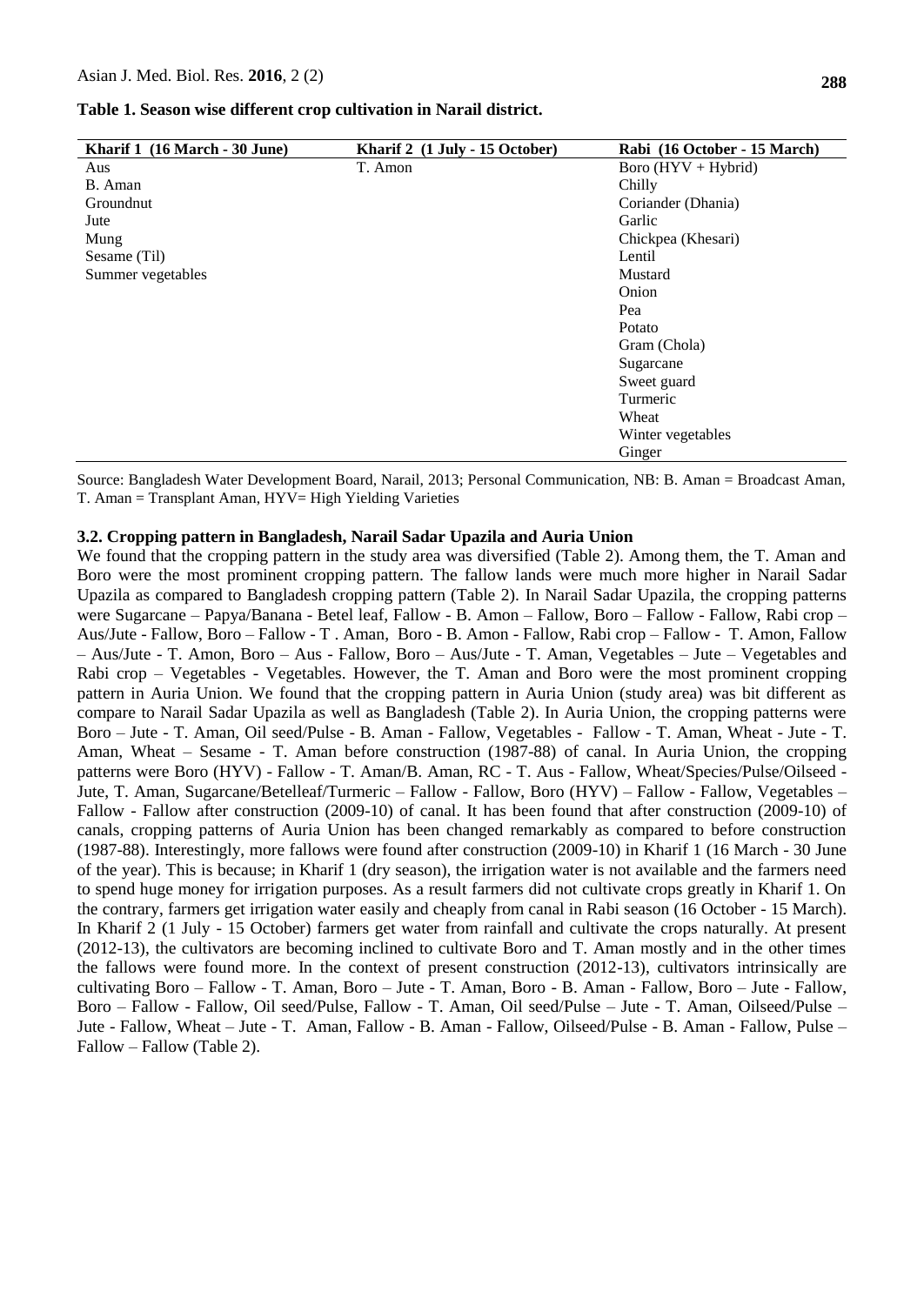| Kharif 1 (16 March - 30 June) | Kharif 2 (1 July - 15 October) | Rabi (16 October - 15 March) |  |
|-------------------------------|--------------------------------|------------------------------|--|
| Aus                           | T. Amon                        | Boro $(HYV + Hybrid)$        |  |
| B. Aman                       |                                | Chilly                       |  |
| Groundnut                     |                                | Coriander (Dhania)           |  |
| Jute                          |                                | Garlic                       |  |
| Mung                          |                                | Chickpea (Khesari)           |  |
| Sesame (Til)                  |                                | Lentil                       |  |
| Summer vegetables             |                                | Mustard                      |  |
|                               |                                | Onion                        |  |
|                               |                                | Pea                          |  |
|                               |                                | Potato                       |  |
|                               |                                | Gram (Chola)                 |  |
|                               |                                | Sugarcane                    |  |
|                               |                                | Sweet guard                  |  |
|                               |                                | Turmeric                     |  |
|                               |                                | Wheat                        |  |
|                               |                                | Winter vegetables            |  |
|                               |                                | Ginger                       |  |

Source: Bangladesh Water Development Board, Narail, 2013; Personal Communication, NB: B. Aman = Broadcast Aman, T. Aman = Transplant Aman, HYV= High Yielding Varieties

### **3.2. Cropping pattern in Bangladesh, Narail Sadar Upazila and Auria Union**

We found that the cropping pattern in the study area was diversified (Table 2). Among them, the T. Aman and Boro were the most prominent cropping pattern. The fallow lands were much more higher in Narail Sadar Upazila as compared to Bangladesh cropping pattern (Table 2). In Narail Sadar Upazila, the cropping patterns were Sugarcane – Papya/Banana - Betel leaf, Fallow - B. Amon – Fallow, Boro – Fallow - Fallow, Rabi crop – Aus/Jute - Fallow, Boro – Fallow - T . Aman, Boro - B. Amon - Fallow, Rabi crop – Fallow - T. Amon, Fallow – Aus/Jute - T. Amon, Boro – Aus - Fallow, Boro – Aus/Jute - T. Aman, Vegetables – Jute – Vegetables and Rabi crop – Vegetables - Vegetables. However, the T. Aman and Boro were the most prominent cropping pattern in Auria Union. We found that the cropping pattern in Auria Union (study area) was bit different as compare to Narail Sadar Upazila as well as Bangladesh (Table 2). In Auria Union, the cropping patterns were Boro – Jute - T. Aman, Oil seed/Pulse - B. Aman - Fallow, Vegetables - Fallow - T. Aman, Wheat - Jute - T. Aman, Wheat – Sesame - T. Aman before construction (1987-88) of canal. In Auria Union, the cropping patterns were Boro (HYV) - Fallow - T. Aman/B. Aman, RC - T. Aus - Fallow, Wheat/Species/Pulse/Oilseed - Jute, T. Aman, Sugarcane/Betelleaf/Turmeric – Fallow - Fallow, Boro (HYV) – Fallow - Fallow, Vegetables – Fallow - Fallow after construction (2009-10) of canal. It has been found that after construction (2009-10) of canals, cropping patterns of Auria Union has been changed remarkably as compared to before construction (1987-88). Interestingly, more fallows were found after construction (2009-10) in Kharif 1 (16 March - 30 June of the year). This is because; in Kharif 1 (dry season), the irrigation water is not available and the farmers need to spend huge money for irrigation purposes. As a result farmers did not cultivate crops greatly in Kharif 1. On the contrary, farmers get irrigation water easily and cheaply from canal in Rabi season (16 October - 15 March). In Kharif 2 (1 July - 15 October) farmers get water from rainfall and cultivate the crops naturally. At present (2012-13), the cultivators are becoming inclined to cultivate Boro and T. Aman mostly and in the other times the fallows were found more. In the context of present construction (2012-13), cultivators intrinsically are cultivating Boro – Fallow - T. Aman, Boro – Jute - T. Aman, Boro - B. Aman - Fallow, Boro – Jute - Fallow, Boro – Fallow - Fallow, Oil seed/Pulse, Fallow - T. Aman, Oil seed/Pulse – Jute - T. Aman, Oilseed/Pulse – Jute - Fallow, Wheat – Jute - T. Aman, Fallow - B. Aman - Fallow, Oilseed/Pulse - B. Aman - Fallow, Pulse – Fallow – Fallow (Table 2).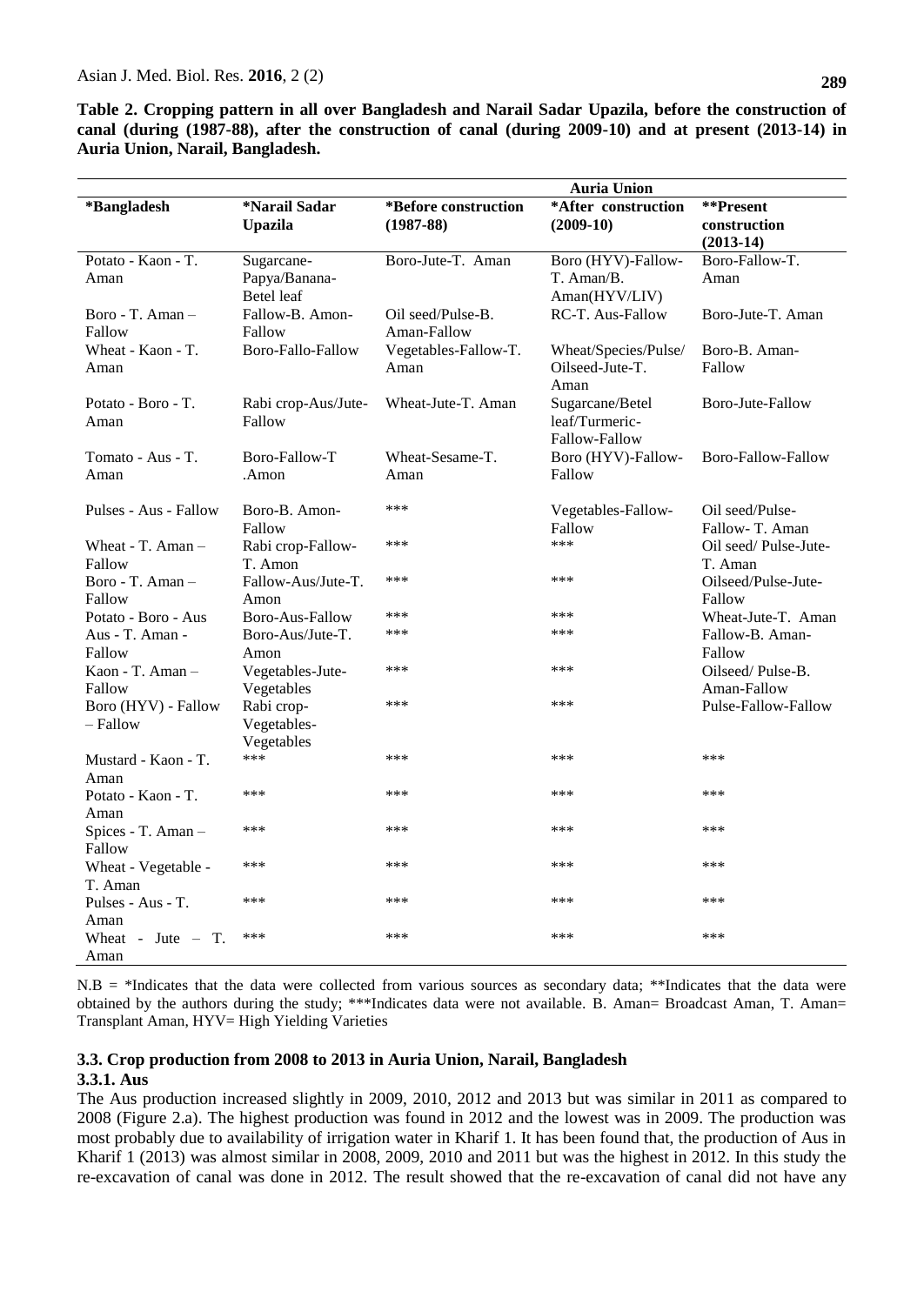**Table 2. Cropping pattern in all over Bangladesh and Narail Sadar Upazila, before the construction of canal (during (1987-88), after the construction of canal (during 2009-10) and at present (2013-14) in Auria Union, Narail, Bangladesh.**

|                                 |                                           | <b>Auria Union</b>                    |                                                    |                                          |
|---------------------------------|-------------------------------------------|---------------------------------------|----------------------------------------------------|------------------------------------------|
| *Bangladesh                     | *Narail Sadar<br><b>Upazila</b>           | *Before construction<br>$(1987 - 88)$ | *After construction<br>$(2009-10)$                 | **Present<br>construction<br>$(2013-14)$ |
| Potato - Kaon - T.<br>Aman      | Sugarcane-<br>Papya/Banana-<br>Betel leaf | Boro-Jute-T. Aman                     | Boro (HYV)-Fallow-<br>T. Aman/B.<br>Aman(HYV/LIV)  | Boro-Fallow-T.<br>Aman                   |
| Boro - T. Aman -<br>Fallow      | Fallow-B. Amon-<br>Fallow                 | Oil seed/Pulse-B.<br>Aman-Fallow      | RC-T. Aus-Fallow                                   | Boro-Jute-T. Aman                        |
| Wheat - Kaon - T.<br>Aman       | Boro-Fallo-Fallow                         | Vegetables-Fallow-T.<br>Aman          | Wheat/Species/Pulse/<br>Oilseed-Jute-T.<br>Aman    | Boro-B. Aman-<br>Fallow                  |
| Potato - Boro - T.<br>Aman      | Rabi crop-Aus/Jute-<br>Fallow             | Wheat-Jute-T. Aman                    | Sugarcane/Betel<br>leaf/Turmeric-<br>Fallow-Fallow | Boro-Jute-Fallow                         |
| Tomato - Aus - T.<br>Aman       | Boro-Fallow-T<br>.Amon                    | Wheat-Sesame-T.<br>Aman               | Boro (HYV)-Fallow-<br>Fallow                       | Boro-Fallow-Fallow                       |
| Pulses - Aus - Fallow           | Boro-B. Amon-<br>Fallow                   | ***                                   | Vegetables-Fallow-<br>Fallow                       | Oil seed/Pulse-<br>Fallow-T. Aman        |
| Wheat - T. Aman -<br>Fallow     | Rabi crop-Fallow-<br>T. Amon              | ***                                   | ***                                                | Oil seed/Pulse-Jute-<br>T. Aman          |
| Boro - T. Aman $-$<br>Fallow    | Fallow-Aus/Jute-T.<br>Amon                | ***                                   | ***                                                | Oilseed/Pulse-Jute-<br>Fallow            |
| Potato - Boro - Aus             | Boro-Aus-Fallow                           | ***                                   | ***                                                | Wheat-Jute-T. Aman                       |
| Aus - T. Aman -<br>Fallow       | Boro-Aus/Jute-T.<br>Amon                  | ***                                   | ***                                                | Fallow-B. Aman-<br>Fallow                |
| Kaon - T. Aman $-$<br>Fallow    | Vegetables-Jute-<br>Vegetables            | ***                                   | ***                                                | Oilseed/Pulse-B.<br>Aman-Fallow          |
| Boro (HYV) - Fallow<br>- Fallow | Rabi crop-<br>Vegetables-<br>Vegetables   | ***                                   | ***                                                | Pulse-Fallow-Fallow                      |
| Mustard - Kaon - T.<br>Aman     | ***                                       | ***                                   | ***                                                | ***                                      |
| Potato - Kaon - T.<br>Aman      | ***                                       | ***                                   | ***                                                | ***                                      |
| Spices - T. Aman -<br>Fallow    | ***                                       | ***                                   | ***                                                | ***                                      |
| Wheat - Vegetable -<br>T. Aman  | ***                                       | ***                                   | ***                                                | ***                                      |
| Pulses - Aus - T.<br>Aman       | ***                                       | ***                                   | ***                                                | ***                                      |
| Wheat - Jute $-$ T.<br>Aman     | ***                                       | ***                                   | ***                                                | ***                                      |

 $N.B = *Indicates that the data were collected from various sources as secondary data; **Indicates that the data were$ obtained by the authors during the study; \*\*\*Indicates data were not available. B. Aman= Broadcast Aman, T. Aman= Transplant Aman, HYV= High Yielding Varieties

### **3.3. Crop production from 2008 to 2013 in Auria Union, Narail, Bangladesh**

### **3.3.1. Aus**

The Aus production increased slightly in 2009, 2010, 2012 and 2013 but was similar in 2011 as compared to 2008 (Figure 2.a). The highest production was found in 2012 and the lowest was in 2009. The production was most probably due to availability of irrigation water in Kharif 1. It has been found that, the production of Aus in Kharif 1 (2013) was almost similar in 2008, 2009, 2010 and 2011 but was the highest in 2012. In this study the re-excavation of canal was done in 2012. The result showed that the re-excavation of canal did not have any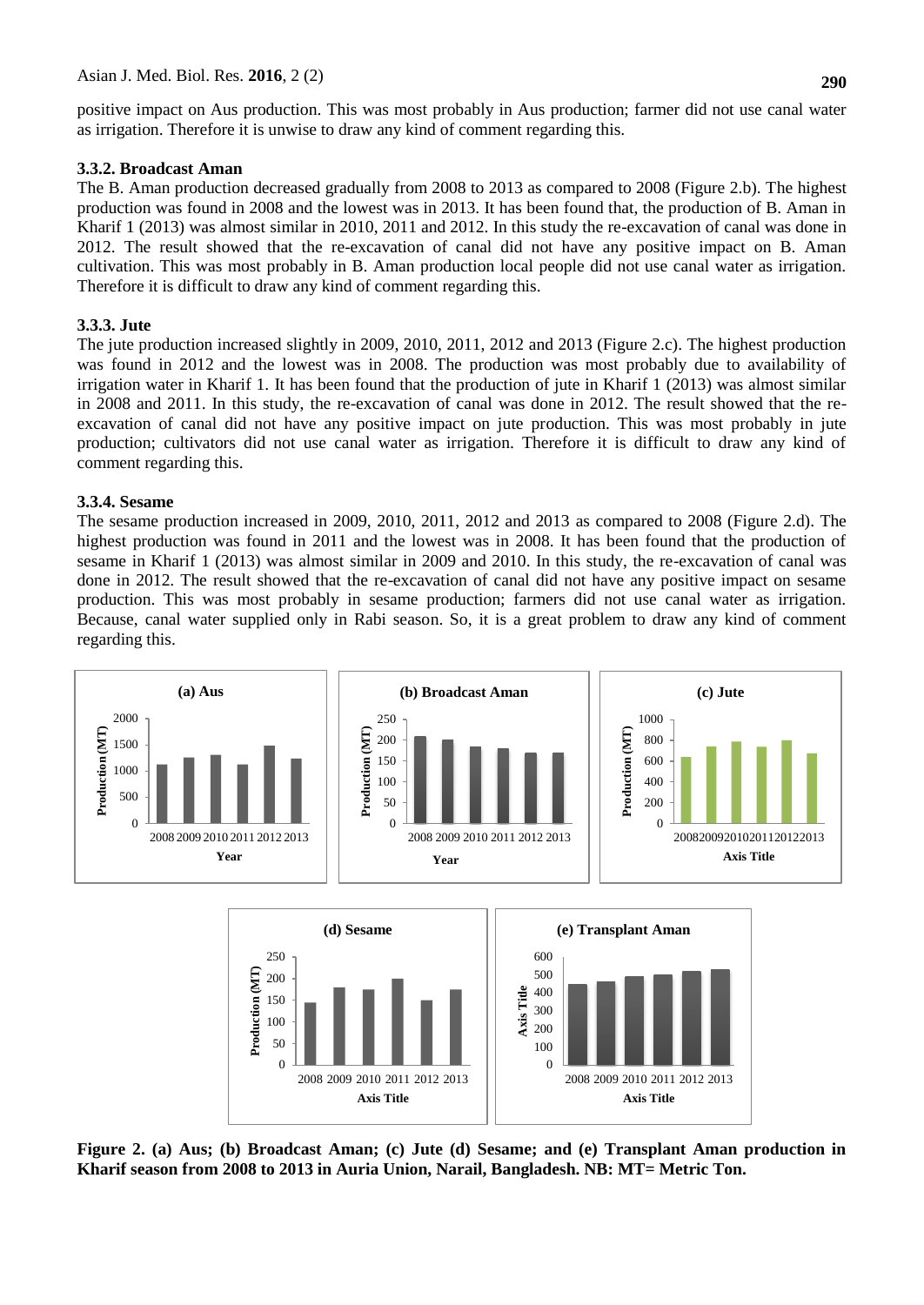positive impact on Aus production. This was most probably in Aus production; farmer did not use canal water as irrigation. Therefore it is unwise to draw any kind of comment regarding this.

# **3.3.2. Broadcast Aman**

The B. Aman production decreased gradually from 2008 to 2013 as compared to 2008 (Figure 2.b). The highest production was found in 2008 and the lowest was in 2013. It has been found that, the production of B. Aman in Kharif 1 (2013) was almost similar in 2010, 2011 and 2012. In this study the re-excavation of canal was done in 2012. The result showed that the re-excavation of canal did not have any positive impact on B. Aman cultivation. This was most probably in B. Aman production local people did not use canal water as irrigation. Therefore it is difficult to draw any kind of comment regarding this.

# **3.3.3. Jute**

The jute production increased slightly in 2009, 2010, 2011, 2012 and 2013 (Figure 2.c). The highest production was found in 2012 and the lowest was in 2008. The production was most probably due to availability of irrigation water in Kharif 1. It has been found that the production of jute in Kharif 1 (2013) was almost similar in 2008 and 2011. In this study, the re-excavation of canal was done in 2012. The result showed that the reexcavation of canal did not have any positive impact on jute production. This was most probably in jute production; cultivators did not use canal water as irrigation. Therefore it is difficult to draw any kind of comment regarding this.

# **3.3.4. Sesame**

The sesame production increased in 2009, 2010, 2011, 2012 and 2013 as compared to 2008 (Figure 2.d). The highest production was found in 2011 and the lowest was in 2008. It has been found that the production of sesame in Kharif 1 (2013) was almost similar in 2009 and 2010. In this study, the re-excavation of canal was done in 2012. The result showed that the re-excavation of canal did not have any positive impact on sesame production. This was most probably in sesame production; farmers did not use canal water as irrigation. Because, canal water supplied only in Rabi season. So, it is a great problem to draw any kind of comment regarding this.



**Figure 2. (a) Aus; (b) Broadcast Aman; (c) Jute (d) Sesame; and (e) Transplant Aman production in Kharif season from 2008 to 2013 in Auria Union, Narail, Bangladesh. NB: MT= Metric Ton.**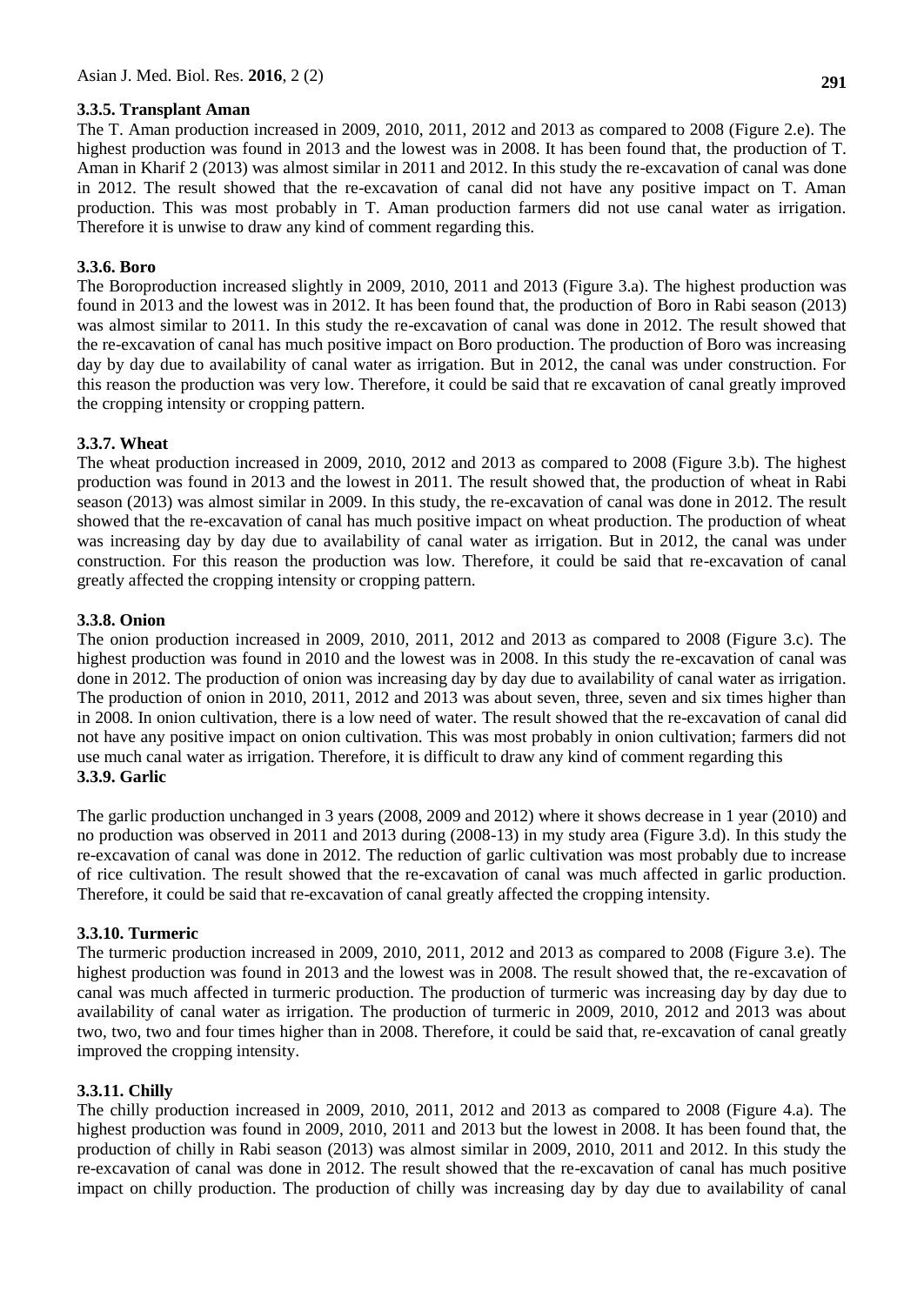# **3.3.5. Transplant Aman**

The T. Aman production increased in 2009, 2010, 2011, 2012 and 2013 as compared to 2008 (Figure 2.e). The highest production was found in 2013 and the lowest was in 2008. It has been found that, the production of T. Aman in Kharif 2 (2013) was almost similar in 2011 and 2012. In this study the re-excavation of canal was done in 2012. The result showed that the re-excavation of canal did not have any positive impact on T. Aman production. This was most probably in T. Aman production farmers did not use canal water as irrigation. Therefore it is unwise to draw any kind of comment regarding this.

# **3.3.6. Boro**

The Boroproduction increased slightly in 2009, 2010, 2011 and 2013 (Figure 3.a). The highest production was found in 2013 and the lowest was in 2012. It has been found that, the production of Boro in Rabi season (2013) was almost similar to 2011. In this study the re-excavation of canal was done in 2012. The result showed that the re-excavation of canal has much positive impact on Boro production. The production of Boro was increasing day by day due to availability of canal water as irrigation. But in 2012, the canal was under construction. For this reason the production was very low. Therefore, it could be said that re excavation of canal greatly improved the cropping intensity or cropping pattern.

# **3.3.7. Wheat**

The wheat production increased in 2009, 2010, 2012 and 2013 as compared to 2008 (Figure 3.b). The highest production was found in 2013 and the lowest in 2011. The result showed that, the production of wheat in Rabi season (2013) was almost similar in 2009. In this study, the re-excavation of canal was done in 2012. The result showed that the re-excavation of canal has much positive impact on wheat production. The production of wheat was increasing day by day due to availability of canal water as irrigation. But in 2012, the canal was under construction. For this reason the production was low. Therefore, it could be said that re-excavation of canal greatly affected the cropping intensity or cropping pattern.

# **3.3.8. Onion**

The onion production increased in 2009, 2010, 2011, 2012 and 2013 as compared to 2008 (Figure 3.c). The highest production was found in 2010 and the lowest was in 2008. In this study the re-excavation of canal was done in 2012. The production of onion was increasing day by day due to availability of canal water as irrigation. The production of onion in 2010, 2011, 2012 and 2013 was about seven, three, seven and six times higher than in 2008. In onion cultivation, there is a low need of water. The result showed that the re-excavation of canal did not have any positive impact on onion cultivation. This was most probably in onion cultivation; farmers did not use much canal water as irrigation. Therefore, it is difficult to draw any kind of comment regarding this **3.3.9. Garlic**

The garlic production unchanged in 3 years (2008, 2009 and 2012) where it shows decrease in 1 year (2010) and no production was observed in 2011 and 2013 during (2008-13) in my study area (Figure 3.d). In this study the re-excavation of canal was done in 2012. The reduction of garlic cultivation was most probably due to increase of rice cultivation. The result showed that the re-excavation of canal was much affected in garlic production. Therefore, it could be said that re-excavation of canal greatly affected the cropping intensity.

# **3.3.10. Turmeric**

The turmeric production increased in 2009, 2010, 2011, 2012 and 2013 as compared to 2008 (Figure 3.e). The highest production was found in 2013 and the lowest was in 2008. The result showed that, the re-excavation of canal was much affected in turmeric production. The production of turmeric was increasing day by day due to availability of canal water as irrigation. The production of turmeric in 2009, 2010, 2012 and 2013 was about two, two, two and four times higher than in 2008. Therefore, it could be said that, re-excavation of canal greatly improved the cropping intensity.

# **3.3.11. Chilly**

The chilly production increased in 2009, 2010, 2011, 2012 and 2013 as compared to 2008 (Figure 4.a). The highest production was found in 2009, 2010, 2011 and 2013 but the lowest in 2008. It has been found that, the production of chilly in Rabi season (2013) was almost similar in 2009, 2010, 2011 and 2012. In this study the re-excavation of canal was done in 2012. The result showed that the re-excavation of canal has much positive impact on chilly production. The production of chilly was increasing day by day due to availability of canal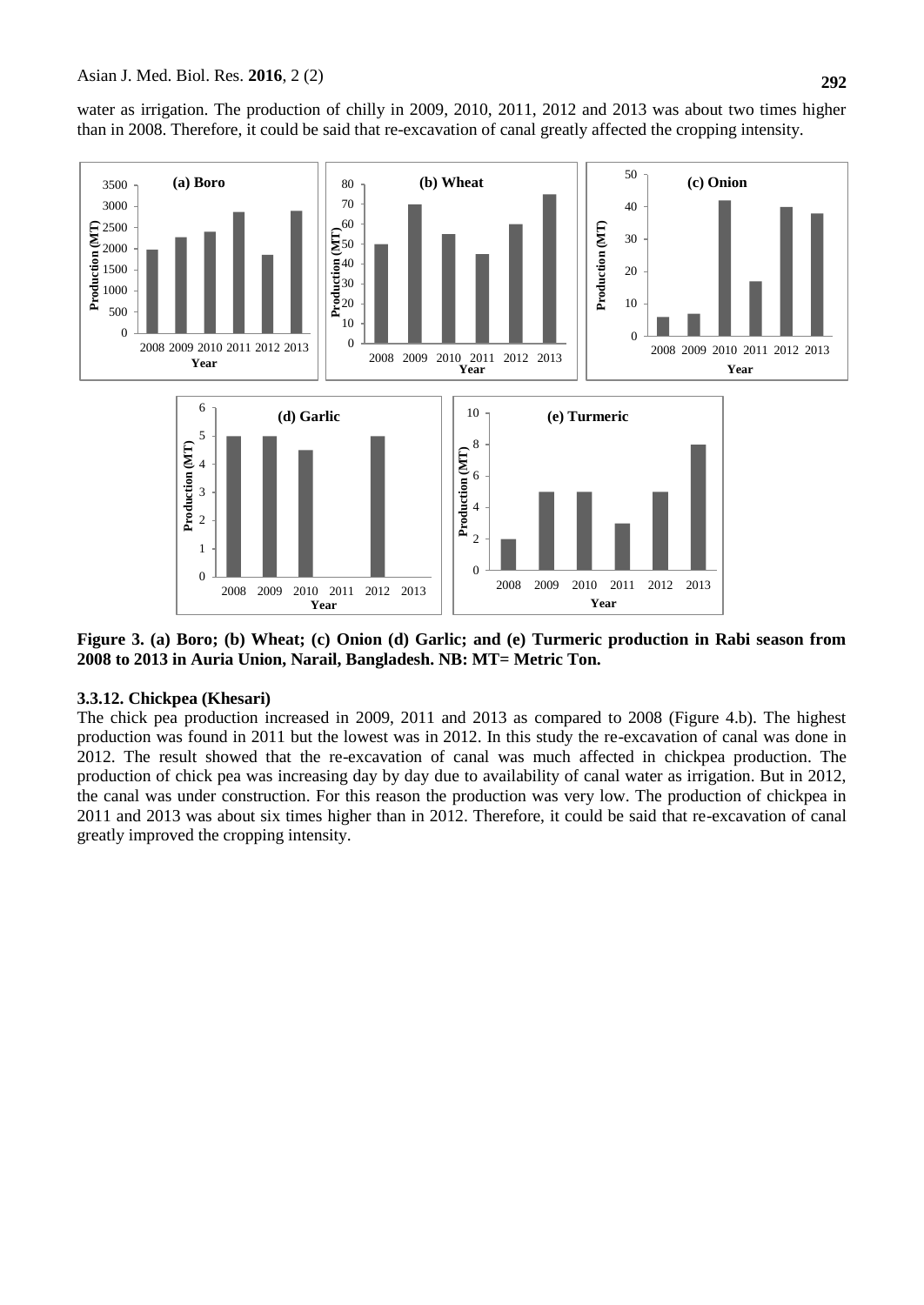water as irrigation. The production of chilly in 2009, 2010, 2011, 2012 and 2013 was about two times higher than in 2008. Therefore, it could be said that re-excavation of canal greatly affected the cropping intensity.



**Figure 3. (a) Boro; (b) Wheat; (c) Onion (d) Garlic; and (e) Turmeric production in Rabi season from 2008 to 2013 in Auria Union, Narail, Bangladesh. NB: MT= Metric Ton.**

# **3.3.12. Chickpea (Khesari)**

The chick pea production increased in 2009, 2011 and 2013 as compared to 2008 (Figure 4.b). The highest production was found in 2011 but the lowest was in 2012. In this study the re-excavation of canal was done in 2012. The result showed that the re-excavation of canal was much affected in chickpea production. The production of chick pea was increasing day by day due to availability of canal water as irrigation. But in 2012, the canal was under construction. For this reason the production was very low. The production of chickpea in 2011 and 2013 was about six times higher than in 2012. Therefore, it could be said that re-excavation of canal greatly improved the cropping intensity.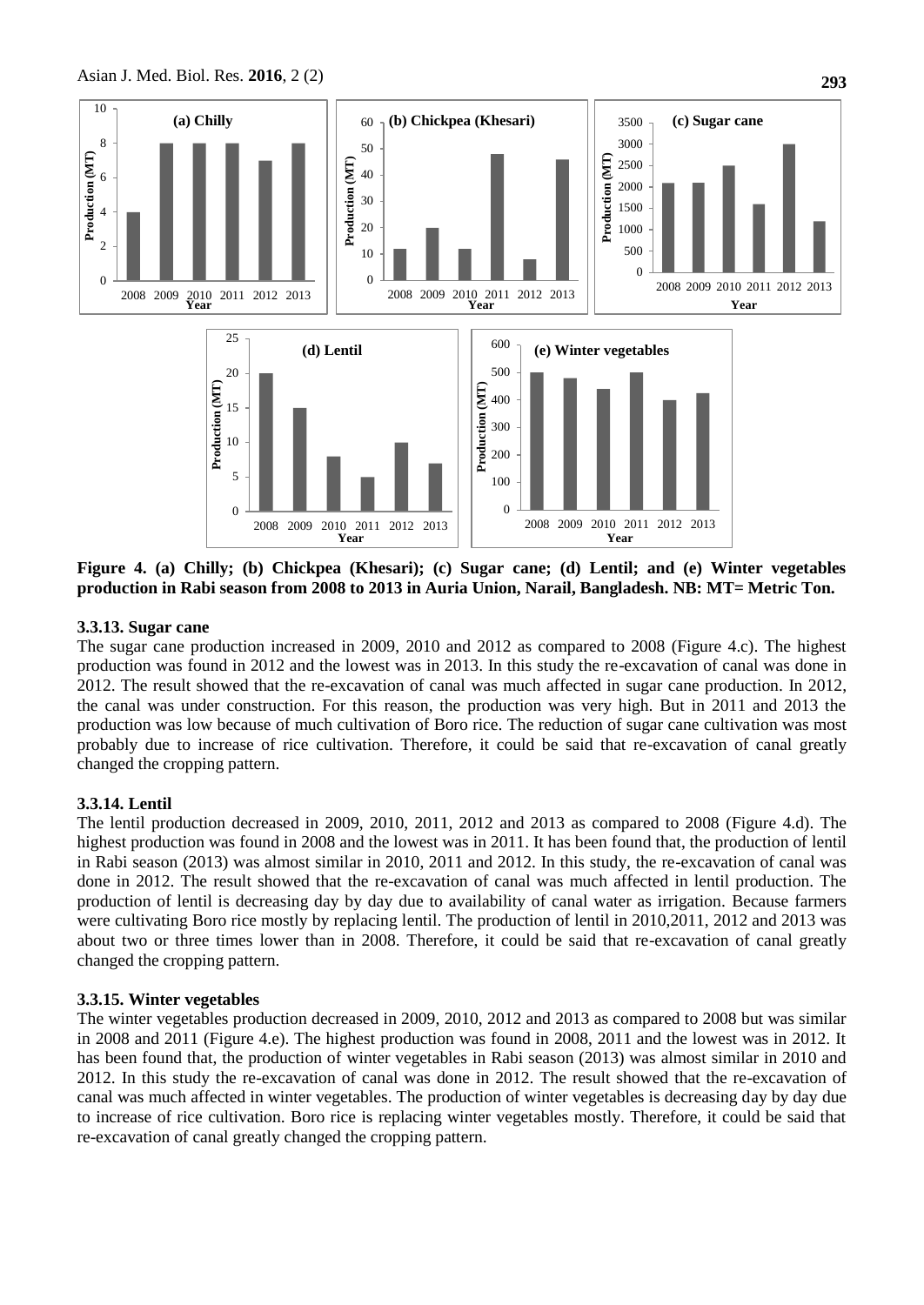

**Figure 4. (a) Chilly; (b) Chickpea (Khesari); (c) Sugar cane; (d) Lentil; and (e) Winter vegetables production in Rabi season from 2008 to 2013 in Auria Union, Narail, Bangladesh. NB: MT= Metric Ton.**

# **3.3.13. Sugar cane**

The sugar cane production increased in 2009, 2010 and 2012 as compared to 2008 (Figure 4.c). The highest production was found in 2012 and the lowest was in 2013. In this study the re-excavation of canal was done in 2012. The result showed that the re-excavation of canal was much affected in sugar cane production. In 2012, the canal was under construction. For this reason, the production was very high. But in 2011 and 2013 the production was low because of much cultivation of Boro rice. The reduction of sugar cane cultivation was most probably due to increase of rice cultivation. Therefore, it could be said that re-excavation of canal greatly changed the cropping pattern.

# **3.3.14. Lentil**

The lentil production decreased in 2009, 2010, 2011, 2012 and 2013 as compared to 2008 (Figure 4.d). The highest production was found in 2008 and the lowest was in 2011. It has been found that, the production of lentil in Rabi season (2013) was almost similar in 2010, 2011 and 2012. In this study, the re-excavation of canal was done in 2012. The result showed that the re-excavation of canal was much affected in lentil production. The production of lentil is decreasing day by day due to availability of canal water as irrigation. Because farmers were cultivating Boro rice mostly by replacing lentil. The production of lentil in 2010,2011, 2012 and 2013 was about two or three times lower than in 2008. Therefore, it could be said that re-excavation of canal greatly changed the cropping pattern.

### **3.3.15. Winter vegetables**

The winter vegetables production decreased in 2009, 2010, 2012 and 2013 as compared to 2008 but was similar in 2008 and 2011 (Figure 4.e). The highest production was found in 2008, 2011 and the lowest was in 2012. It has been found that, the production of winter vegetables in Rabi season (2013) was almost similar in 2010 and 2012. In this study the re-excavation of canal was done in 2012. The result showed that the re-excavation of canal was much affected in winter vegetables. The production of winter vegetables is decreasing day by day due to increase of rice cultivation. Boro rice is replacing winter vegetables mostly. Therefore, it could be said that re-excavation of canal greatly changed the cropping pattern.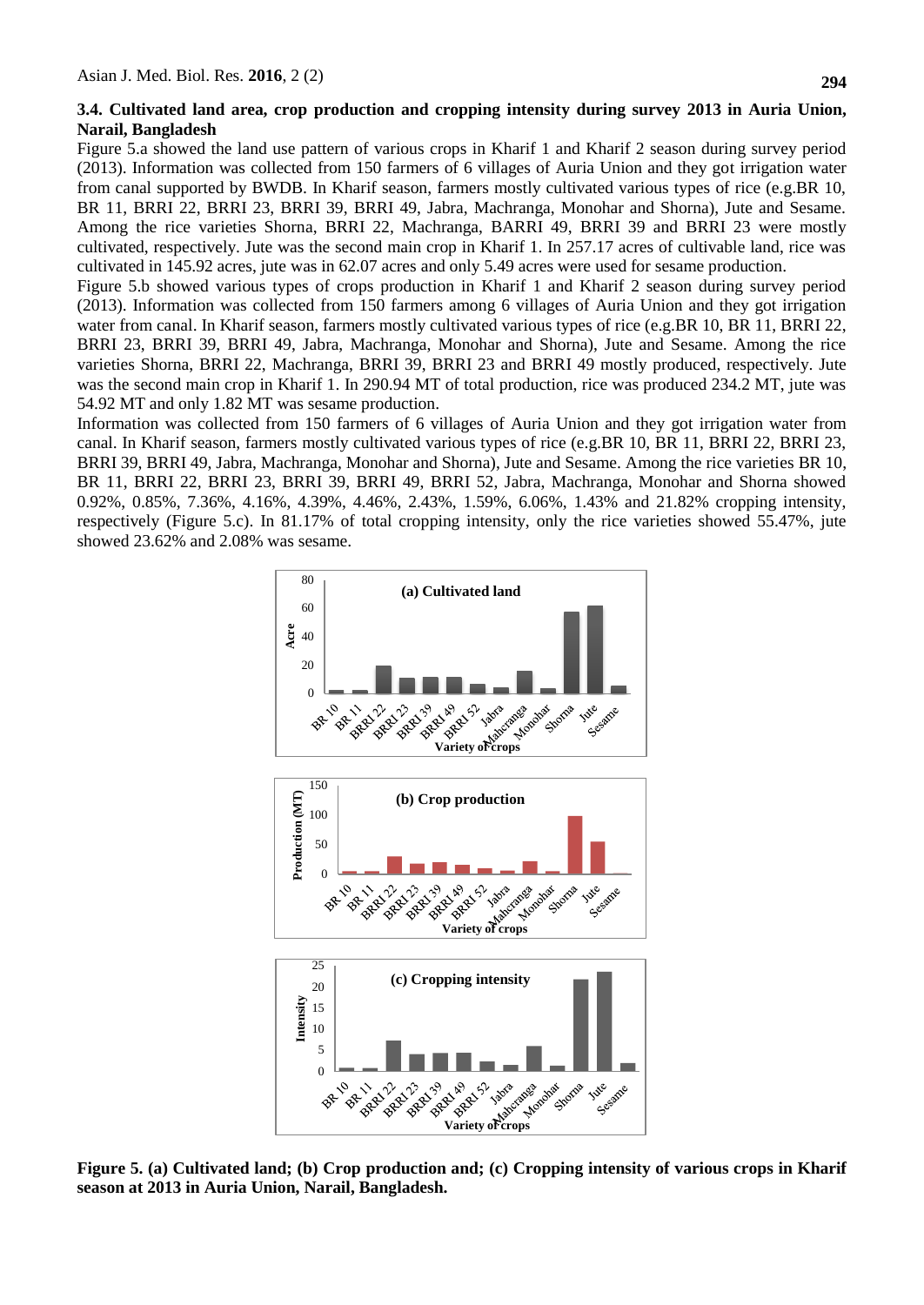### **3.4. Cultivated land area, crop production and cropping intensity during survey 2013 in Auria Union, Narail, Bangladesh**

Figure 5.a showed the land use pattern of various crops in Kharif 1 and Kharif 2 season during survey period (2013). Information was collected from 150 farmers of 6 villages of Auria Union and they got irrigation water from canal supported by BWDB. In Kharif season, farmers mostly cultivated various types of rice (e.g.BR 10, BR 11, BRRI 22, BRRI 23, BRRI 39, BRRI 49, Jabra, Machranga, Monohar and Shorna), Jute and Sesame. Among the rice varieties Shorna, BRRI 22, Machranga, BARRI 49, BRRI 39 and BRRI 23 were mostly cultivated, respectively. Jute was the second main crop in Kharif 1. In 257.17 acres of cultivable land, rice was cultivated in 145.92 acres, jute was in 62.07 acres and only 5.49 acres were used for sesame production.

Figure 5.b showed various types of crops production in Kharif 1 and Kharif 2 season during survey period (2013). Information was collected from 150 farmers among 6 villages of Auria Union and they got irrigation water from canal. In Kharif season, farmers mostly cultivated various types of rice (e.g.BR 10, BR 11, BRRI 22, BRRI 23, BRRI 39, BRRI 49, Jabra, Machranga, Monohar and Shorna), Jute and Sesame. Among the rice varieties Shorna, BRRI 22, Machranga, BRRI 39, BRRI 23 and BRRI 49 mostly produced, respectively. Jute was the second main crop in Kharif 1. In 290.94 MT of total production, rice was produced 234.2 MT, jute was 54.92 MT and only 1.82 MT was sesame production.

Information was collected from 150 farmers of 6 villages of Auria Union and they got irrigation water from canal. In Kharif season, farmers mostly cultivated various types of rice (e.g.BR 10, BR 11, BRRI 22, BRRI 23, BRRI 39, BRRI 49, Jabra, Machranga, Monohar and Shorna), Jute and Sesame. Among the rice varieties BR 10, BR 11, BRRI 22, BRRI 23, BRRI 39, BRRI 49, BRRI 52, Jabra, Machranga, Monohar and Shorna showed 0.92%, 0.85%, 7.36%, 4.16%, 4.39%, 4.46%, 2.43%, 1.59%, 6.06%, 1.43% and 21.82% cropping intensity, respectively (Figure 5.c). In 81.17% of total cropping intensity, only the rice varieties showed 55.47%, jute showed 23.62% and 2.08% was sesame.



**Figure 5. (a) Cultivated land; (b) Crop production and; (c) Cropping intensity of various crops in Kharif season at 2013 in Auria Union, Narail, Bangladesh.**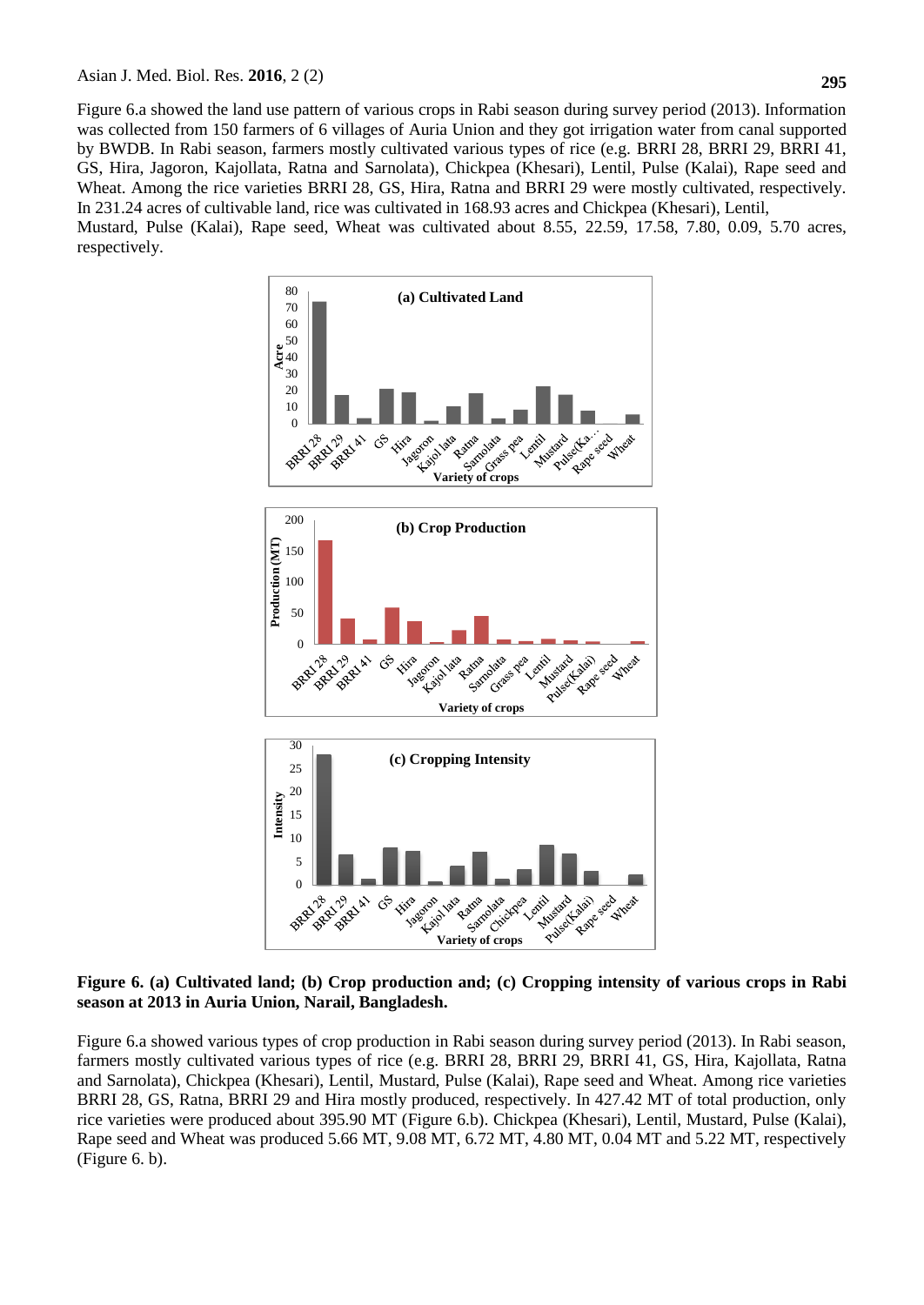Figure 6.a showed the land use pattern of various crops in Rabi season during survey period (2013). Information was collected from 150 farmers of 6 villages of Auria Union and they got irrigation water from canal supported by BWDB. In Rabi season, farmers mostly cultivated various types of rice (e.g. BRRI 28, BRRI 29, BRRI 41, GS, Hira, Jagoron, Kajollata, Ratna and Sarnolata), Chickpea (Khesari), Lentil, Pulse (Kalai), Rape seed and Wheat. Among the rice varieties BRRI 28, GS, Hira, Ratna and BRRI 29 were mostly cultivated, respectively. In 231.24 acres of cultivable land, rice was cultivated in 168.93 acres and Chickpea (Khesari), Lentil, Mustard, Pulse (Kalai), Rape seed, Wheat was cultivated about 8.55, 22.59, 17.58, 7.80, 0.09, 5.70 acres, respectively.



**Figure 6. (a) Cultivated land; (b) Crop production and; (c) Cropping intensity of various crops in Rabi season at 2013 in Auria Union, Narail, Bangladesh.**

Figure 6.a showed various types of crop production in Rabi season during survey period (2013). In Rabi season, farmers mostly cultivated various types of rice (e.g. BRRI 28, BRRI 29, BRRI 41, GS, Hira, Kajollata, Ratna and Sarnolata), Chickpea (Khesari), Lentil, Mustard, Pulse (Kalai), Rape seed and Wheat. Among rice varieties BRRI 28, GS, Ratna, BRRI 29 and Hira mostly produced, respectively. In 427.42 MT of total production, only rice varieties were produced about 395.90 MT (Figure 6.b). Chickpea (Khesari), Lentil, Mustard, Pulse (Kalai), Rape seed and Wheat was produced 5.66 MT, 9.08 MT, 6.72 MT, 4.80 MT, 0.04 MT and 5.22 MT, respectively (Figure 6. b).